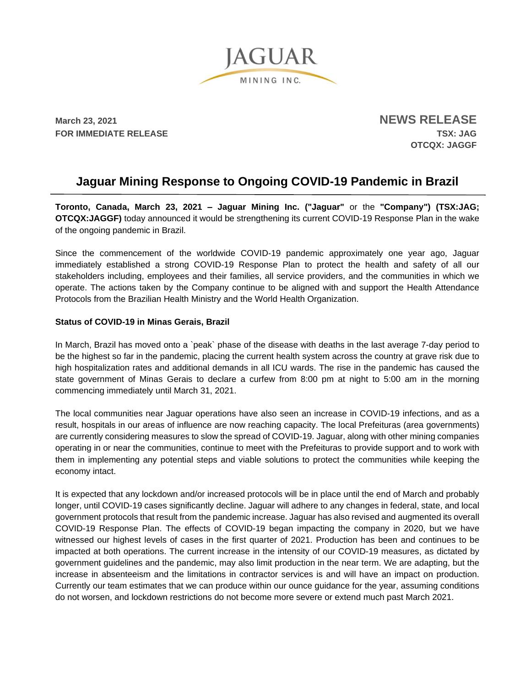

**March 23, 2021 NEWS RELEASE FOR IMMEDIATE RELEASE TSX: JAG**

**OTCQX: JAGGF**

# **Jaguar Mining Response to Ongoing COVID-19 Pandemic in Brazil**

**Toronto, Canada, March 23, 2021 – Jaguar Mining Inc. ("Jaguar"** or the **"Company") (TSX:JAG; OTCQX:JAGGF)** today announced it would be strengthening its current COVID-19 Response Plan in the wake of the ongoing pandemic in Brazil.

Since the commencement of the worldwide COVID-19 pandemic approximately one year ago, Jaguar immediately established a strong COVID-19 Response Plan to protect the health and safety of all our stakeholders including, employees and their families, all service providers, and the communities in which we operate. The actions taken by the Company continue to be aligned with and support the Health Attendance Protocols from the Brazilian Health Ministry and the World Health Organization.

## **Status of COVID-19 in Minas Gerais, Brazil**

In March, Brazil has moved onto a `peak` phase of the disease with deaths in the last average 7-day period to be the highest so far in the pandemic, placing the current health system across the country at grave risk due to high hospitalization rates and additional demands in all ICU wards. The rise in the pandemic has caused the state government of Minas Gerais to declare a curfew from 8:00 pm at night to 5:00 am in the morning commencing immediately until March 31, 2021.

The local communities near Jaguar operations have also seen an increase in COVID-19 infections, and as a result, hospitals in our areas of influence are now reaching capacity. The local Prefeituras (area governments) are currently considering measures to slow the spread of COVID-19. Jaguar, along with other mining companies operating in or near the communities, continue to meet with the Prefeituras to provide support and to work with them in implementing any potential steps and viable solutions to protect the communities while keeping the economy intact.

It is expected that any lockdown and/or increased protocols will be in place until the end of March and probably longer, until COVID-19 cases significantly decline. Jaguar will adhere to any changes in federal, state, and local government protocols that result from the pandemic increase. Jaguar has also revised and augmented its overall COVID-19 Response Plan. The effects of COVID-19 began impacting the company in 2020, but we have witnessed our highest levels of cases in the first quarter of 2021. Production has been and continues to be impacted at both operations. The current increase in the intensity of our COVID-19 measures, as dictated by government guidelines and the pandemic, may also limit production in the near term. We are adapting, but the increase in absenteeism and the limitations in contractor services is and will have an impact on production. Currently our team estimates that we can produce within our ounce guidance for the year, assuming conditions do not worsen, and lockdown restrictions do not become more severe or extend much past March 2021.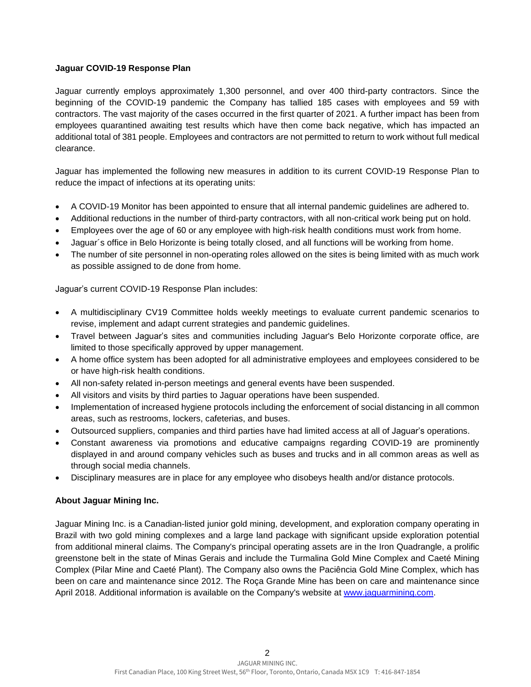### **Jaguar COVID-19 Response Plan**

Jaguar currently employs approximately 1,300 personnel, and over 400 third-party contractors. Since the beginning of the COVID-19 pandemic the Company has tallied 185 cases with employees and 59 with contractors. The vast majority of the cases occurred in the first quarter of 2021. A further impact has been from employees quarantined awaiting test results which have then come back negative, which has impacted an additional total of 381 people. Employees and contractors are not permitted to return to work without full medical clearance.

Jaguar has implemented the following new measures in addition to its current COVID-19 Response Plan to reduce the impact of infections at its operating units:

- A COVID-19 Monitor has been appointed to ensure that all internal pandemic guidelines are adhered to.
- Additional reductions in the number of third-party contractors, with all non-critical work being put on hold.
- Employees over the age of 60 or any employee with high-risk health conditions must work from home.
- Jaguar´s office in Belo Horizonte is being totally closed, and all functions will be working from home.
- The number of site personnel in non-operating roles allowed on the sites is being limited with as much work as possible assigned to de done from home.

Jaguar's current COVID-19 Response Plan includes:

- A multidisciplinary CV19 Committee holds weekly meetings to evaluate current pandemic scenarios to revise, implement and adapt current strategies and pandemic guidelines.
- Travel between Jaguar's sites and communities including Jaguar's Belo Horizonte corporate office, are limited to those specifically approved by upper management.
- A home office system has been adopted for all administrative employees and employees considered to be or have high-risk health conditions.
- All non-safety related in-person meetings and general events have been suspended.
- All visitors and visits by third parties to Jaguar operations have been suspended.
- Implementation of increased hygiene protocols including the enforcement of social distancing in all common areas, such as restrooms, lockers, cafeterias, and buses.
- Outsourced suppliers, companies and third parties have had limited access at all of Jaguar's operations.
- Constant awareness via promotions and educative campaigns regarding COVID-19 are prominently displayed in and around company vehicles such as buses and trucks and in all common areas as well as through social media channels.
- Disciplinary measures are in place for any employee who disobeys health and/or distance protocols.

## **About Jaguar Mining Inc.**

Jaguar Mining Inc. is a Canadian-listed junior gold mining, development, and exploration company operating in Brazil with two gold mining complexes and a large land package with significant upside exploration potential from additional mineral claims. The Company's principal operating assets are in the Iron Quadrangle, a prolific greenstone belt in the state of Minas Gerais and include the Turmalina Gold Mine Complex and Caeté Mining Complex (Pilar Mine and Caeté Plant). The Company also owns the Paciência Gold Mine Complex, which has been on care and maintenance since 2012. The Roça Grande Mine has been on care and maintenance since April 2018. Additional information is available on the Company's website at [www.jaguarmining.com.](https://jaguarmining.com/)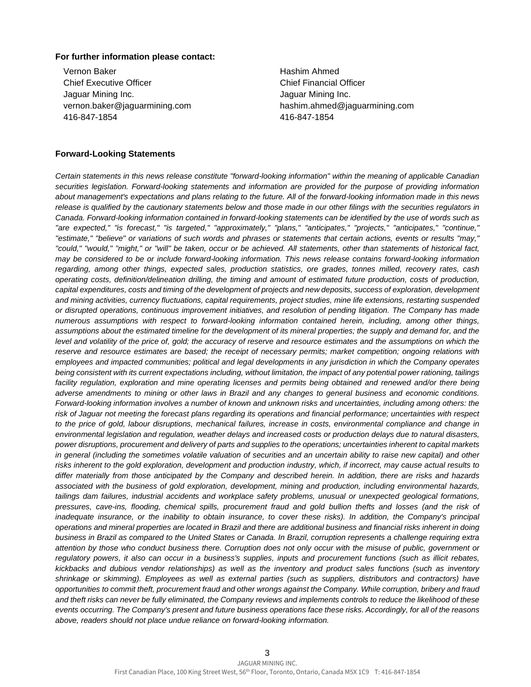#### **For further information please contact:**

Vernon Baker Chief Executive Officer Jaguar Mining Inc. vernon.baker@jaguarmining.com 416-847-1854

Hashim Ahmed Chief Financial Officer Jaguar Mining Inc. hashim.ahmed@jaguarmining.com 416-847-1854

#### **Forward-Looking Statements**

Certain statements in this news release constitute "forward-looking information" within the meaning of applicable Canadian *securities legislation. Forward-looking statements and information are provided for the purpose of providing information* about management's expectations and plans relating to the future. All of the forward-looking information made in this news release is qualified by the cautionary statements below and those made in our other filings with the securities regulators in Canada. Forward-looking information contained in forward-looking statements can be identified by the use of words such as *"are expected," "is forecast," "is targeted," "approximately," "plans," "anticipates," "projects," "anticipates," "continue,"* "estimate," "believe" or variations of such words and phrases or statements that certain actions, events or results "may," "could," "would," "might," or "will" be taken, occur or be achieved. All statements, other than statements of historical fact, *may be considered to be or include forward-looking information. This news release contains forward-looking information regarding, among other things, expected sales, production statistics, ore grades, tonnes milled, recovery rates, cash* operating costs, definition/delineation drilling, the timing and amount of estimated future production, costs of production, capital expenditures, costs and timing of the development of projects and new deposits, success of exploration, development and mining activities, currency fluctuations, capital requirements, project studies, mine life extensions, restarting suspended *or disrupted operations, continuous improvement initiatives, and resolution of pending litigation. The Company has made numerous assumptions with respect to forward-looking information contained herein, including, among other things,* assumptions about the estimated timeline for the development of its mineral properties; the supply and demand for, and the level and volatility of the price of, gold; the accuracy of reserve and resource estimates and the assumptions on which the reserve and resource estimates are based; the receipt of necessary permits; market competition; ongoing relations with employees and impacted communities; political and legal developments in any jurisdiction in which the Company operates being consistent with its current expectations including, without limitation, the impact of any potential power rationing, tailings facility regulation, exploration and mine operating licenses and permits being obtained and renewed and/or there being adverse amendments to mining or other laws in Brazil and any changes to general business and economic conditions. Forward-looking information involves a number of known and unknown risks and uncertainties, including among others: the risk of Jaguar not meeting the forecast plans regarding its operations and financial performance; uncertainties with respect to the price of gold, labour disruptions, mechanical failures, increase in costs, environmental compliance and change in environmental legislation and regulation, weather delays and increased costs or production delays due to natural disasters, power disruptions, procurement and delivery of parts and supplies to the operations; uncertainties inherent to capital markets in general (including the sometimes volatile valuation of securities and an uncertain ability to raise new capital) and other risks inherent to the gold exploration, development and production industry, which, if incorrect, may cause actual results to differ materially from those anticipated by the Company and described herein. In addition, there are risks and hazards *associated with the business of gold exploration, development, mining and production, including environmental hazards, tailings dam failures, industrial accidents and workplace safety problems, unusual or unexpected geological formations,* pressures, cave-ins, flooding, chemical spills, procurement fraud and gold bullion thefts and losses (and the risk of inadequate insurance, or the inability to obtain insurance, to cover these risks). In addition, the Company's principal operations and mineral properties are located in Brazil and there are additional business and financial risks inherent in doing business in Brazil as compared to the United States or Canada. In Brazil, corruption represents a challenge requiring extra attention by those who conduct business there. Corruption does not only occur with the misuse of public, government or regulatory powers, it also can occur in a business's supplies, inputs and procurement functions (such as illicit rebates, kickbacks and dubious vendor relationships) as well as the inventory and product sales functions (such as inventory shrinkage or skimming). Employees as well as external parties (such as suppliers, distributors and contractors) have opportunities to commit theft, procurement fraud and other wrongs against the Company. While corruption, bribery and fraud and theft risks can never be fully eliminated, the Company reviews and implements controls to reduce the likelihood of these events occurring. The Company's present and future business operations face these risks. Accordingly, for all of the reasons *above, readers should not place undue reliance on forward-looking information.*